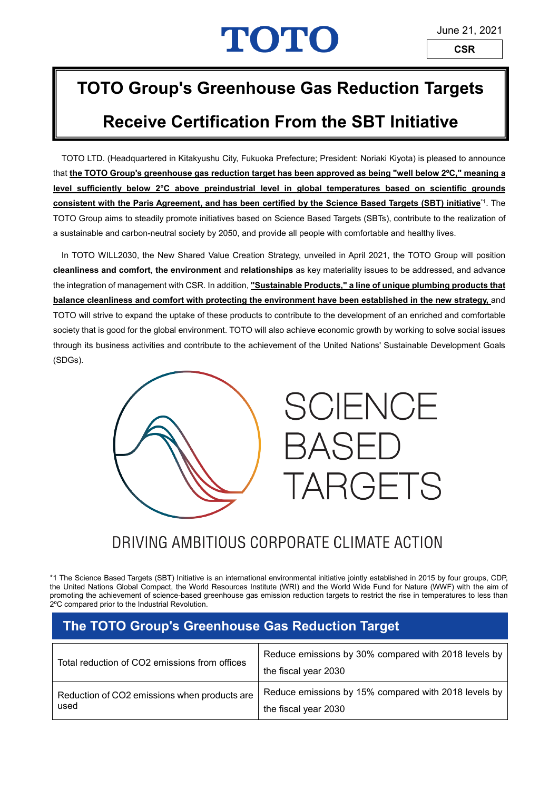# TOTO

## **TOTO Group's Greenhouse Gas Reduction Targets**

## **Receive Certification From the SBT Initiative**

TOTO LTD. (Headquartered in Kitakyushu City, Fukuoka Prefecture; President: Noriaki Kiyota) is pleased to announce that **the TOTO Group's greenhouse gas reduction target has been approved as being "well below 2ºC," meaning a level sufficiently below 2°C above preindustrial level in global temperatures based on scientific grounds consistent with the Paris Agreement, and has been certified by the Science Based Targets (SBT) initiative**\*1. The TOTO Group aims to steadily promote initiatives based on Science Based Targets (SBTs), contribute to the realization of a sustainable and carbon-neutral society by 2050, and provide all people with comfortable and healthy lives.

In TOTO WILL2030, the New Shared Value Creation Strategy, unveiled in April 2021, the TOTO Group will position **cleanliness and comfort**, **the environment** and **relationships** as key materiality issues to be addressed, and advance the integration of management with CSR. In addition, **"Sustainable Products," a line of unique plumbing products that balance cleanliness and comfort with protecting the environment have been established in the new strategy,** and TOTO will strive to expand the uptake of these products to contribute to the development of an enriched and comfortable society that is good for the global environment. TOTO will also achieve economic growth by working to solve social issues through its business activities and contribute to the achievement of the United Nations' Sustainable Development Goals (SDGs).





### DRIVING AMBITIOUS CORPORATE CLIMATE ACTION

\*1 The Science Based Targets (SBT) Initiative is an international environmental initiative jointly established in 2015 by four groups, CDP, the United Nations Global Compact, the World Resources Institute (WRI) and the World Wide Fund for Nature (WWF) with the aim of promoting the achievement of science-based greenhouse gas emission reduction targets to restrict the rise in temperatures to less than 2ºC compared prior to the Industrial Revolution.

#### **The TOTO Group's Greenhouse Gas Reduction Target**

| Total reduction of CO2 emissions from offices | Reduce emissions by 30% compared with 2018 levels by<br>the fiscal year 2030 |
|-----------------------------------------------|------------------------------------------------------------------------------|
| Reduction of CO2 emissions when products are  | Reduce emissions by 15% compared with 2018 levels by                         |
| used                                          | the fiscal year 2030                                                         |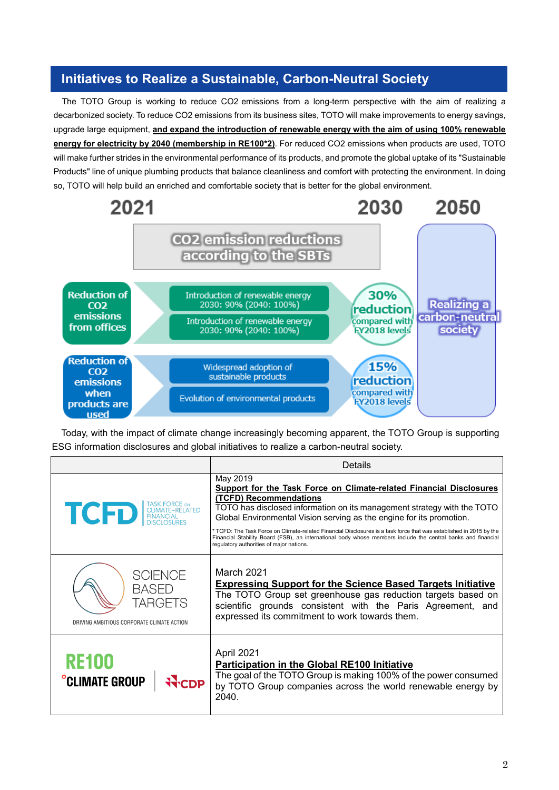#### **Initiatives to Realize a Sustainable, Carbon-Neutral Society**

The TOTO Group is working to reduce CO2 emissions from a long-term perspective with the aim of realizing a decarbonized society. To reduce CO2 emissions from its business sites, TOTO will make improvements to energy savings, upgrade large equipment, **and expand the introduction of renewable energy with the aim of using 100% renewable energy for electricity by 2040 (membership in RE100\*2)**. For reduced CO2 emissions when products are used, TOTO will make further strides in the environmental performance of its products, and promote the global uptake of its "Sustainable Products" line of unique plumbing products that balance cleanliness and comfort with protecting the environment. In doing so, TOTO will help build an enriched and comfortable society that is better for the global environment.



Today, with the impact of climate change increasingly becoming apparent, the TOTO Group is supporting ESG information disclosures and global initiatives to realize a carbon-neutral society.

|                                                                                         | Details                                                                                                                                                                                                                                                                                                                                                                                                                                                                                                                                         |
|-----------------------------------------------------------------------------------------|-------------------------------------------------------------------------------------------------------------------------------------------------------------------------------------------------------------------------------------------------------------------------------------------------------------------------------------------------------------------------------------------------------------------------------------------------------------------------------------------------------------------------------------------------|
| <b>TASK FORCE ON</b><br>TCD EINANCIAL ELATED                                            | May 2019<br>Support for the Task Force on Climate-related Financial Disclosures<br>(TCFD) Recommendations<br>TOTO has disclosed information on its management strategy with the TOTO<br>Global Environmental Vision serving as the engine for its promotion.<br>* TCFD: The Task Force on Climate-related Financial Disclosures is a task force that was established in 2015 by the<br>Financial Stability Board (FSB), an international body whose members include the central banks and financial<br>regulatory authorities of major nations. |
| <b>SCIENCE</b><br><b>BASED</b><br>TARGETS<br>DRIVING AMBITIOUS CORPORATE CLIMATE ACTION | <b>March 2021</b><br><b>Expressing Support for the Science Based Targets Initiative</b><br>The TOTO Group set greenhouse gas reduction targets based on<br>scientific grounds consistent with the Paris Agreement, and<br>expressed its commitment to work towards them.                                                                                                                                                                                                                                                                        |
| <b>RE100</b><br><b>°CLIMATE GROUP</b>                                                   | April 2021<br><b>Participation in the Global RE100 Initiative</b><br>The goal of the TOTO Group is making 100% of the power consumed<br>by TOTO Group companies across the world renewable energy by<br>2040.                                                                                                                                                                                                                                                                                                                                   |